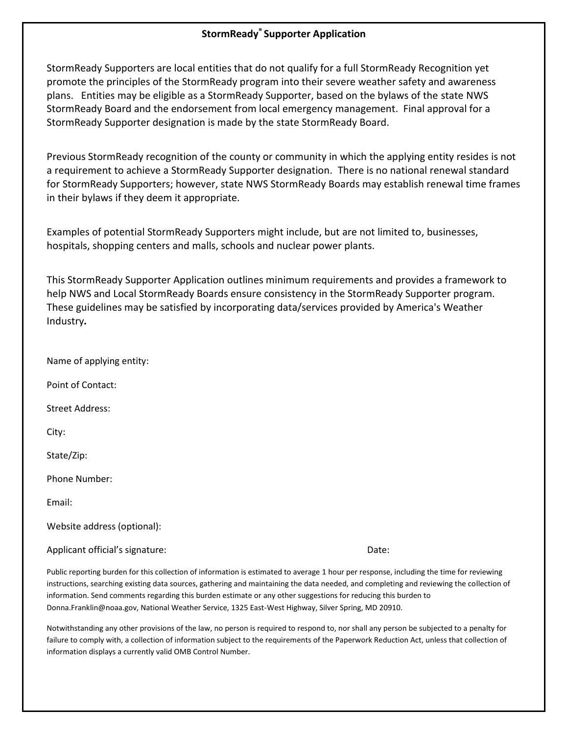## **StormReady® Supporter Application**

StormReady Supporters are local entities that do not qualify for a full StormReady Recognition yet promote the principles of the StormReady program into their severe weather safety and awareness plans. Entities may be eligible as a StormReady Supporter, based on the bylaws of the state NWS StormReady Board and the endorsement from local emergency management. Final approval for a StormReady Supporter designation is made by the state StormReady Board.

Previous StormReady recognition of the county or community in which the applying entity resides is not a requirement to achieve a StormReady Supporter designation. There is no national renewal standard for StormReady Supporters; however, state NWS StormReady Boards may establish renewal time frames in their bylaws if they deem it appropriate.

Examples of potential StormReady Supporters might include, but are not limited to, businesses, hospitals, shopping centers and malls, schools and nuclear power plants.

This StormReady Supporter Application outlines minimum requirements and provides a framework to help NWS and Local StormReady Boards ensure consistency in the StormReady Supporter program. These guidelines may be satisfied by incorporating data/services provided by America's Weather Industry*.*

Name of applying entity:

Point of Contact:

Street Address:

City:

State/Zip:

Phone Number:

Email:

Website address (optional):

Applicant official's signature:  $\Box$  Date:  $\Box$ 

Public reporting burden for this collection of information is estimated to average 1 hour per response, including the time for reviewing instructions, searching existing data sources, gathering and maintaining the data needed, and completing and reviewing the collection of information. Send comments regarding this burden estimate or any other suggestions for reducing this burden to Donna.Franklin@noaa.gov, National Weather Service, 1325 East-West Highway, Silver Spring, MD 20910.

Notwithstanding any other provisions of the law, no person is required to respond to, nor shall any person be subjected to a penalty for failure to comply with, a collection of information subject to the requirements of the Paperwork Reduction Act, unless that collection of information displays a currently valid OMB Control Number.